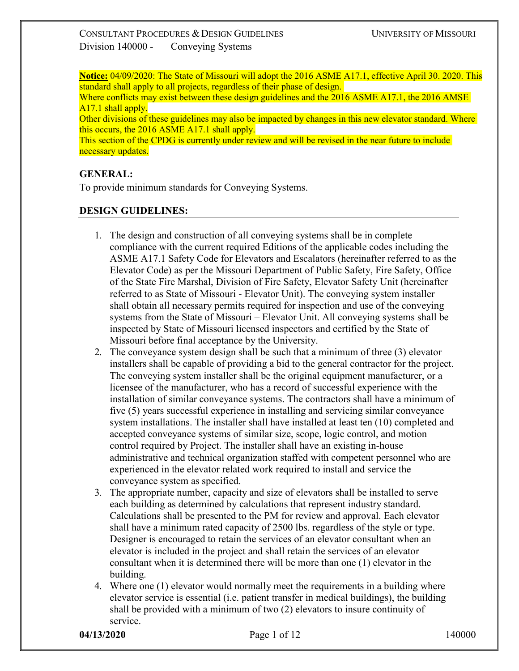**Notice:** 04/09/2020: The State of Missouri will adopt the 2016 ASME A17.1, effective April 30. 2020. This standard shall apply to all projects, regardless of their phase of design.

Where conflicts may exist between these design guidelines and the 2016 ASME A17.1, the 2016 AMSE A<sub>17.1</sub> shall apply.

Other divisions of these guidelines may also be impacted by changes in this new elevator standard. Where this occurs, the 2016 ASME A17.1 shall apply.

This section of the CPDG is currently under review and will be revised in the near future to include necessary updates.

### **GENERAL:**

To provide minimum standards for Conveying Systems.

### **DESIGN GUIDELINES:**

- 1. The design and construction of all conveying systems shall be in complete compliance with the current required Editions of the applicable codes including the ASME A17.1 Safety Code for Elevators and Escalators (hereinafter referred to as the Elevator Code) as per the Missouri Department of Public Safety, Fire Safety, Office of the State Fire Marshal, Division of Fire Safety, Elevator Safety Unit (hereinafter referred to as State of Missouri - Elevator Unit). The conveying system installer shall obtain all necessary permits required for inspection and use of the conveying systems from the State of Missouri – Elevator Unit. All conveying systems shall be inspected by State of Missouri licensed inspectors and certified by the State of Missouri before final acceptance by the University.
- 2. The conveyance system design shall be such that a minimum of three (3) elevator installers shall be capable of providing a bid to the general contractor for the project. The conveying system installer shall be the original equipment manufacturer, or a licensee of the manufacturer, who has a record of successful experience with the installation of similar conveyance systems. The contractors shall have a minimum of five (5) years successful experience in installing and servicing similar conveyance system installations. The installer shall have installed at least ten (10) completed and accepted conveyance systems of similar size, scope, logic control, and motion control required by Project. The installer shall have an existing in-house administrative and technical organization staffed with competent personnel who are experienced in the elevator related work required to install and service the conveyance system as specified.
- 3. The appropriate number, capacity and size of elevators shall be installed to serve each building as determined by calculations that represent industry standard. Calculations shall be presented to the PM for review and approval. Each elevator shall have a minimum rated capacity of 2500 lbs. regardless of the style or type. Designer is encouraged to retain the services of an elevator consultant when an elevator is included in the project and shall retain the services of an elevator consultant when it is determined there will be more than one (1) elevator in the building.
- 4. Where one (1) elevator would normally meet the requirements in a building where elevator service is essential (i.e. patient transfer in medical buildings), the building shall be provided with a minimum of two (2) elevators to insure continuity of service.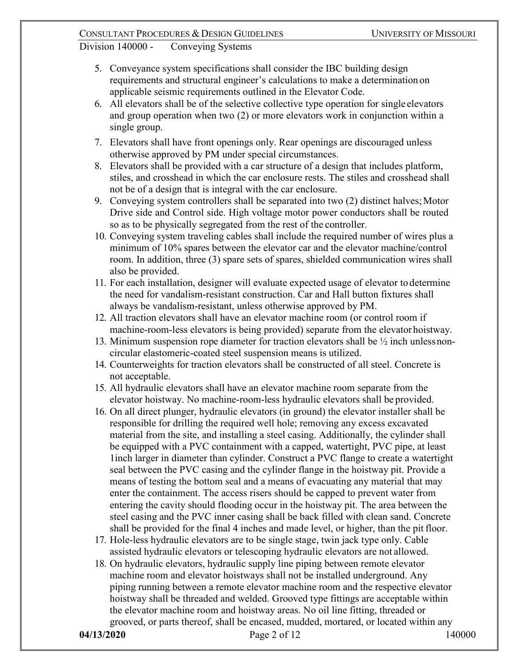- 5. Conveyance system specifications shall consider the IBC building design requirements and structural engineer's calculations to make a determination on applicable seismic requirements outlined in the Elevator Code.
- 6. All elevators shall be of the selective collective type operation for single elevators and group operation when two (2) or more elevators work in conjunction within a single group.
- 7. Elevators shall have front openings only. Rear openings are discouraged unless otherwise approved by PM under special circumstances.
- 8. Elevators shall be provided with a car structure of a design that includes platform, stiles, and crosshead in which the car enclosure rests. The stiles and crosshead shall not be of a design that is integral with the car enclosure.
- 9. Conveying system controllers shall be separated into two  $(2)$  distinct halves; Motor Drive side and Control side. High voltage motor power conductors shall be routed so as to be physically segregated from the rest of the controller.
- 10. Conveying system traveling cables shall include the required number of wires plus a minimum of 10% spares between the elevator car and the elevator machine/control room. In addition, three (3) spare sets of spares, shielded communication wires shall also be provided.
- 11. For each installation, designer will evaluate expected usage of elevator to determine the need for vandalism-resistant construction. Car and Hall button fixtures shall always be vandalism-resistant, unless otherwise approved by PM.
- 12. All traction elevators shall have an elevator machine room (or control room if machine-room-less elevators is being provided) separate from the elevatorhoistway.
- 13. Minimum suspension rope diameter for traction elevators shall be  $\frac{1}{2}$  inch unless noncircular elastomeric-coated steel suspension means is utilized.
- 14. Counterweights for traction elevators shall be constructed of all steel. Concrete is not acceptable.
- 15. All hydraulic elevators shall have an elevator machine room separate from the elevator hoistway. No machine-room-less hydraulic elevators shall be provided.
- 16. On all direct plunger, hydraulic elevators (in ground) the elevator installer shall be responsible for drilling the required well hole; removing any excess excavated material from the site, and installing a steel casing. Additionally, the cylinder shall be equipped with a PVC containment with a capped, watertight, PVC pipe, at least 1inch larger in diameter than cylinder. Construct a PVC flange to create a watertight seal between the PVC casing and the cylinder flange in the hoistway pit. Provide a means of testing the bottom seal and a means of evacuating any material that may enter the containment. The access risers should be capped to prevent water from entering the cavity should flooding occur in the hoistway pit. The area between the steel casing and the PVC inner casing shall be back filled with clean sand. Concrete shall be provided for the final 4 inches and made level, or higher, than the pit floor.
- 17. Hole-less hydraulic elevators are to be single stage, twin jack type only. Cable assisted hydraulic elevators or telescoping hydraulic elevators are not allowed.
- 18. On hydraulic elevators, hydraulic supply line piping between remote elevator machine room and elevator hoistways shall not be installed underground. Any piping running between a remote elevator machine room and the respective elevator hoistway shall be threaded and welded. Grooved type fittings are acceptable within the elevator machine room and hoistway areas. No oil line fitting, threaded or grooved, or parts thereof, shall be encased, mudded, mortared, or located within any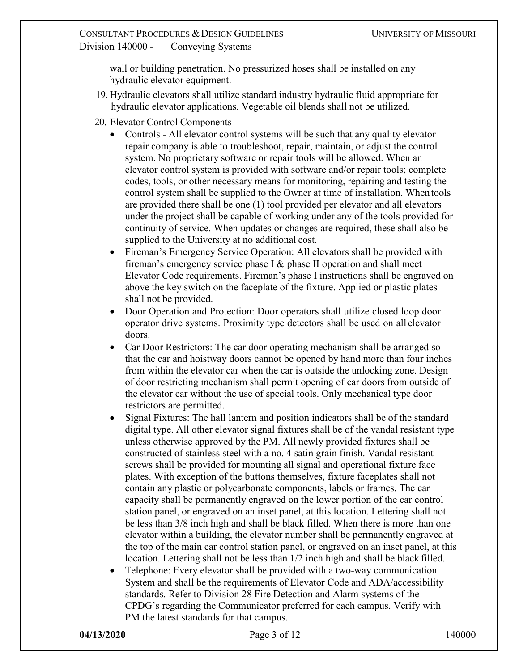wall or building penetration. No pressurized hoses shall be installed on any hydraulic elevator equipment.

- 19. Hydraulic elevators shall utilize standard industry hydraulic fluid appropriate for hydraulic elevator applications. Vegetable oil blends shall not be utilized.
- 20. Elevator Control Components
	- Controls All elevator control systems will be such that any quality elevator repair company is able to troubleshoot, repair, maintain, or adjust the control system. No proprietary software or repair tools will be allowed. When an elevator control system is provided with software and/or repair tools; complete codes, tools, or other necessary means for monitoring, repairing and testing the control system shall be supplied to the Owner at time of installation. Whentools are provided there shall be one (1) tool provided per elevator and all elevators under the project shall be capable of working under any of the tools provided for continuity of service. When updates or changes are required, these shall also be supplied to the University at no additional cost.
	- Fireman's Emergency Service Operation: All elevators shall be provided with fireman's emergency service phase I & phase II operation and shall meet Elevator Code requirements. Fireman's phase I instructions shall be engraved on above the key switch on the faceplate of the fixture. Applied or plastic plates shall not be provided.
	- Door Operation and Protection: Door operators shall utilize closed loop door operator drive systems. Proximity type detectors shall be used on all elevator doors.
	- Car Door Restrictors: The car door operating mechanism shall be arranged so that the car and hoistway doors cannot be opened by hand more than four inches from within the elevator car when the car is outside the unlocking zone. Design of door restricting mechanism shall permit opening of car doors from outside of the elevator car without the use of special tools. Only mechanical type door restrictors are permitted.
	- Signal Fixtures: The hall lantern and position indicators shall be of the standard digital type. All other elevator signal fixtures shall be of the vandal resistant type unless otherwise approved by the PM. All newly provided fixtures shall be constructed of stainless steel with a no. 4 satin grain finish. Vandal resistant screws shall be provided for mounting all signal and operational fixture face plates. With exception of the buttons themselves, fixture faceplates shall not contain any plastic or polycarbonate components, labels or frames. The car capacity shall be permanently engraved on the lower portion of the car control station panel, or engraved on an inset panel, at this location. Lettering shall not be less than 3/8 inch high and shall be black filled. When there is more than one elevator within a building, the elevator number shall be permanently engraved at the top of the main car control station panel, or engraved on an inset panel, at this location. Lettering shall not be less than 1/2 inch high and shall be black filled.
	- Telephone: Every elevator shall be provided with a two-way communication System and shall be the requirements of Elevator Code and ADA/accessibility standards. Refer to Division 28 Fire Detection and Alarm systems of the CPDG's regarding the Communicator preferred for each campus. Verify with PM the latest standards for that campus.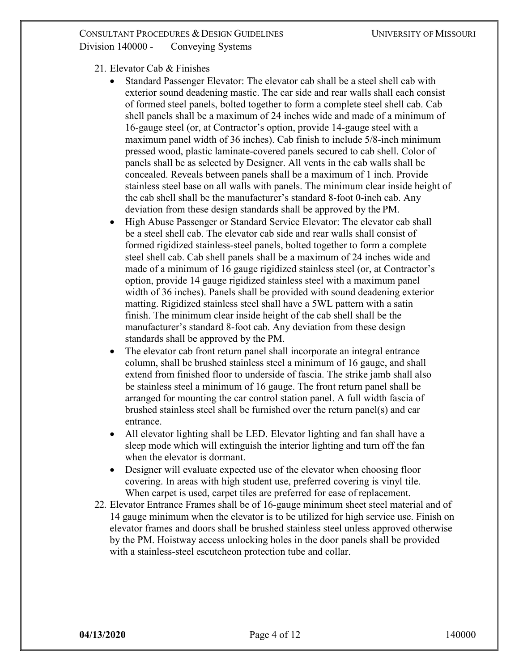- 21. Elevator Cab & Finishes
	- Standard Passenger Elevator: The elevator cab shall be a steel shell cab with exterior sound deadening mastic. The car side and rear walls shall each consist of formed steel panels, bolted together to form a complete steel shell cab. Cab shell panels shall be a maximum of 24 inches wide and made of a minimum of 16-gauge steel (or, at Contractor's option, provide 14-gauge steel with a maximum panel width of 36 inches). Cab finish to include 5/8-inch minimum pressed wood, plastic laminate-covered panels secured to cab shell. Color of panels shall be as selected by Designer. All vents in the cab walls shall be concealed. Reveals between panels shall be a maximum of 1 inch. Provide stainless steel base on all walls with panels. The minimum clear inside height of the cab shell shall be the manufacturer's standard 8-foot 0-inch cab. Any deviation from these design standards shall be approved by the PM.
	- High Abuse Passenger or Standard Service Elevator: The elevator cab shall be a steel shell cab. The elevator cab side and rear walls shall consist of formed rigidized stainless-steel panels, bolted together to form a complete steel shell cab. Cab shell panels shall be a maximum of 24 inches wide and made of a minimum of 16 gauge rigidized stainless steel (or, at Contractor's option, provide 14 gauge rigidized stainless steel with a maximum panel width of 36 inches). Panels shall be provided with sound deadening exterior matting. Rigidized stainless steel shall have a 5WL pattern with a satin finish. The minimum clear inside height of the cab shell shall be the manufacturer's standard 8-foot cab. Any deviation from these design standards shall be approved by the PM.
	- The elevator cab front return panel shall incorporate an integral entrance column, shall be brushed stainless steel a minimum of 16 gauge, and shall extend from finished floor to underside of fascia. The strike jamb shall also be stainless steel a minimum of 16 gauge. The front return panel shall be arranged for mounting the car control station panel. A full width fascia of brushed stainless steel shall be furnished over the return panel(s) and car entrance.
	- All elevator lighting shall be LED. Elevator lighting and fan shall have a sleep mode which will extinguish the interior lighting and turn off the fan when the elevator is dormant.
	- Designer will evaluate expected use of the elevator when choosing floor covering. In areas with high student use, preferred covering is vinyl tile. When carpet is used, carpet tiles are preferred for ease of replacement.
- 22. Elevator Entrance Frames shall be of 16-gauge minimum sheet steel material and of 14 gauge minimum when the elevator is to be utilized for high service use. Finish on elevator frames and doors shall be brushed stainless steel unless approved otherwise by the PM. Hoistway access unlocking holes in the door panels shall be provided with a stainless-steel escutcheon protection tube and collar.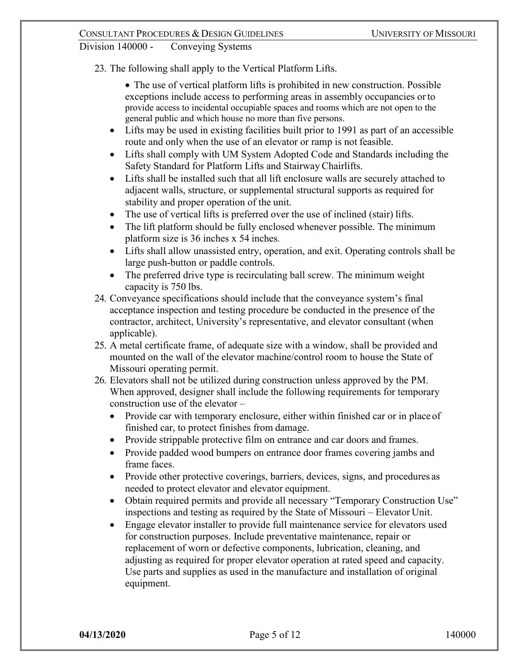23. The following shall apply to the Vertical Platform Lifts.

• The use of vertical platform lifts is prohibited in new construction. Possible exceptions include access to performing areas in assembly occupancies orto provide access to incidental occupiable spaces and rooms which are not open to the general public and which house no more than five persons.

- Lifts may be used in existing facilities built prior to 1991 as part of an accessible route and only when the use of an elevator or ramp is not feasible.
- Lifts shall comply with UM System Adopted Code and Standards including the Safety Standard for Platform Lifts and Stairway Chairlifts.
- Lifts shall be installed such that all lift enclosure walls are securely attached to adjacent walls, structure, or supplemental structural supports as required for stability and proper operation of the unit.
- The use of vertical lifts is preferred over the use of inclined (stair) lifts.
- The lift platform should be fully enclosed whenever possible. The minimum platform size is 36 inches x 54 inches.
- Lifts shall allow unassisted entry, operation, and exit. Operating controls shall be large push-button or paddle controls.
- The preferred drive type is recirculating ball screw. The minimum weight capacity is 750 lbs.
- 24. Conveyance specifications should include that the conveyance system's final acceptance inspection and testing procedure be conducted in the presence of the contractor, architect, University's representative, and elevator consultant (when applicable).
- 25. A metal certificate frame, of adequate size with a window, shall be provided and mounted on the wall of the elevator machine/control room to house the State of Missouri operating permit.
- 26. Elevators shall not be utilized during construction unless approved by the PM. When approved, designer shall include the following requirements for temporary construction use of the elevator –
	- Provide car with temporary enclosure, either within finished car or in place of finished car, to protect finishes from damage.
	- Provide strippable protective film on entrance and car doors and frames.
	- Provide padded wood bumpers on entrance door frames covering jambs and frame faces.
	- Provide other protective coverings, barriers, devices, signs, and procedures as needed to protect elevator and elevator equipment.
	- Obtain required permits and provide all necessary "Temporary Construction Use" inspections and testing as required by the State of Missouri – Elevator Unit.
	- Engage elevator installer to provide full maintenance service for elevators used for construction purposes. Include preventative maintenance, repair or replacement of worn or defective components, lubrication, cleaning, and adjusting as required for proper elevator operation at rated speed and capacity. Use parts and supplies as used in the manufacture and installation of original equipment.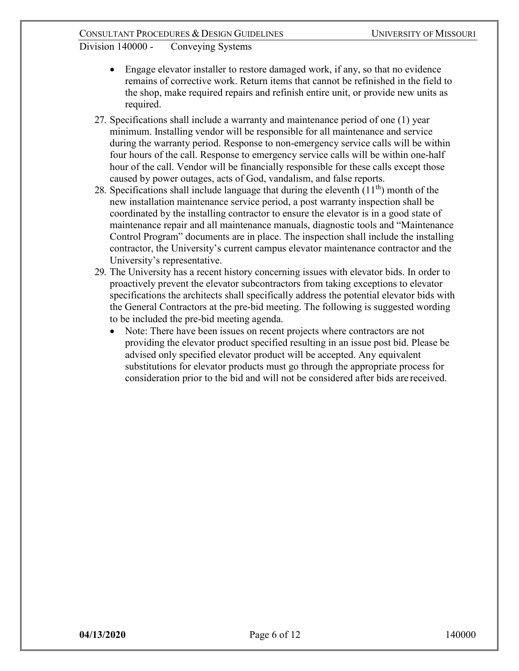- Engage elevator installer to restore damaged work, if any, so that no evidence remains of corrective work. Return items that cannot be refinished in the field to the shop, make required repairs and refinish entire unit, or provide new units as required.
- 27. Specifications shall include a warranty and maintenance period of one (1) year minimum. Installing vendor will be responsible for all maintenance and service during the warranty period. Response to non-emergency service calls will be within four hours of the call. Response to emergency service calls will be within one-half hour of the call. Vendor will be financially responsible for these calls except those caused by power outages, acts of God, vandalism, and false reports.
- 28. Specifications shall include language that during the eleventh  $(11<sup>th</sup>)$  month of the new installation maintenance service period, a post warranty inspection shall be coordinated by the installing contractor to ensure the elevator is in a good state of maintenance repair and all maintenance manuals, diagnostic tools and "Maintenance Control Program" documents are in place. The inspection shall include the installing contractor, the University's current campus elevator maintenance contractor and the University's representative.
- 29. The University has a recent history concerning issues with elevator bids. In order to proactively prevent the elevator subcontractors from taking exceptions to elevator specifications the architects shall specifically address the potential elevator bids with the General Contractors at the pre-bid meeting. The following is suggested wording to be included the pre-bid meeting agenda.
	- Note: There have been issues on recent projects where contractors are not providing the elevator product specified resulting in an issue post bid. Please be advised only specified elevator product will be accepted. Any equivalent substitutions for elevator products must go through the appropriate process for consideration prior to the bid and will not be considered after bids are received.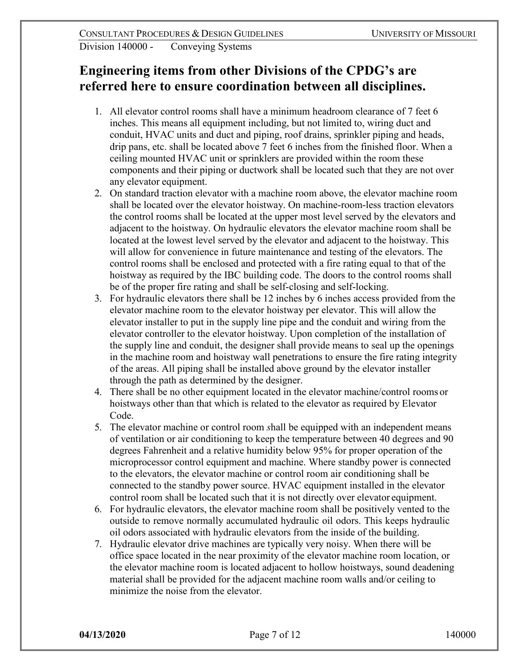# **Engineering items from other Divisions of the CPDG's are referred here to ensure coordination between all disciplines.**

- 1. All elevator control rooms shall have a minimum headroom clearance of 7 feet 6 inches. This means all equipment including, but not limited to, wiring duct and conduit, HVAC units and duct and piping, roof drains, sprinkler piping and heads, drip pans, etc. shall be located above 7 feet 6 inches from the finished floor. When a ceiling mounted HVAC unit or sprinklers are provided within the room these components and their piping or ductwork shall be located such that they are not over any elevator equipment.
- 2. On standard traction elevator with a machine room above, the elevator machine room shall be located over the elevator hoistway. On machine-room-less traction elevators the control rooms shall be located at the upper most level served by the elevators and adjacent to the hoistway. On hydraulic elevators the elevator machine room shall be located at the lowest level served by the elevator and adjacent to the hoistway. This will allow for convenience in future maintenance and testing of the elevators. The control rooms shall be enclosed and protected with a fire rating equal to that of the hoistway as required by the IBC building code. The doors to the control rooms shall be of the proper fire rating and shall be self-closing and self-locking.
- 3. For hydraulic elevators there shall be 12 inches by 6 inches access provided from the elevator machine room to the elevator hoistway per elevator. This will allow the elevator installer to put in the supply line pipe and the conduit and wiring from the elevator controller to the elevator hoistway. Upon completion of the installation of the supply line and conduit, the designer shall provide means to seal up the openings in the machine room and hoistway wall penetrations to ensure the fire rating integrity of the areas. All piping shall be installed above ground by the elevator installer through the path as determined by the designer.
- 4. There shall be no other equipment located in the elevator machine/control rooms or hoistways other than that which is related to the elevator as required by Elevator Code.
- 5. The elevator machine or control room *s*hall be equipped with an independent means of ventilation or air conditioning to keep the temperature between 40 degrees and 90 degrees Fahrenheit and a relative humidity below 95% for proper operation of the microprocessor control equipment and machine. Where standby power is connected to the elevators, the elevator machine or control room air conditioning shall be connected to the standby power source. HVAC equipment installed in the elevator control room shall be located such that it is not directly over elevator equipment.
- 6. For hydraulic elevators, the elevator machine room shall be positively vented to the outside to remove normally accumulated hydraulic oil odors. This keeps hydraulic oil odors associated with hydraulic elevators from the inside of the building.
- 7. Hydraulic elevator drive machines are typically very noisy. When there will be office space located in the near proximity of the elevator machine room location, or the elevator machine room is located adjacent to hollow hoistways, sound deadening material shall be provided for the adjacent machine room walls and/or ceiling to minimize the noise from the elevator.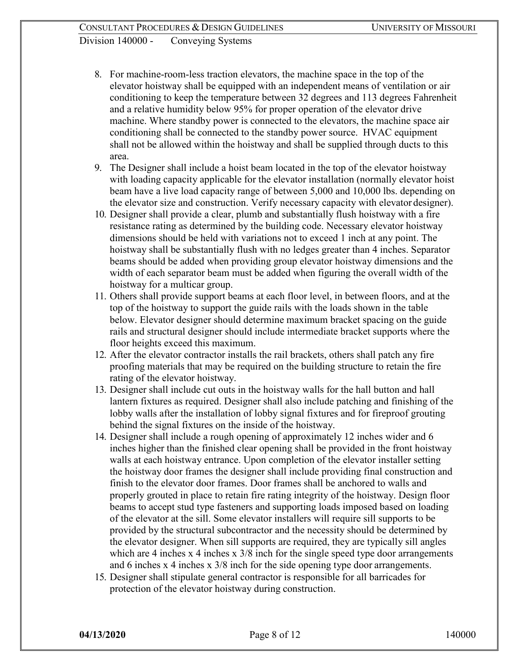- 8. For machine-room-less traction elevators, the machine space in the top of the elevator hoistway shall be equipped with an independent means of ventilation or air conditioning to keep the temperature between 32 degrees and 113 degrees Fahrenheit and a relative humidity below 95% for proper operation of the elevator drive machine. Where standby power is connected to the elevators, the machine space air conditioning shall be connected to the standby power source. HVAC equipment shall not be allowed within the hoistway and shall be supplied through ducts to this area.
- 9. The Designer shall include a hoist beam located in the top of the elevator hoistway with loading capacity applicable for the elevator installation (normally elevator hoist beam have a live load capacity range of between 5,000 and 10,000 lbs. depending on the elevator size and construction. Verify necessary capacity with elevator designer).
- 10. Designer shall provide a clear, plumb and substantially flush hoistway with a fire resistance rating as determined by the building code. Necessary elevator hoistway dimensions should be held with variations not to exceed 1 inch at any point. The hoistway shall be substantially flush with no ledges greater than 4 inches. Separator beams should be added when providing group elevator hoistway dimensions and the width of each separator beam must be added when figuring the overall width of the hoistway for a multicar group.
- 11. Others shall provide support beams at each floor level, in between floors, and at the top of the hoistway to support the guide rails with the loads shown in the table below. Elevator designer should determine maximum bracket spacing on the guide rails and structural designer should include intermediate bracket supports where the floor heights exceed this maximum.
- 12. After the elevator contractor installs the rail brackets, others shall patch any fire proofing materials that may be required on the building structure to retain the fire rating of the elevator hoistway.
- 13. Designer shall include cut outs in the hoistway walls for the hall button and hall lantern fixtures as required. Designer shall also include patching and finishing of the lobby walls after the installation of lobby signal fixtures and for fireproof grouting behind the signal fixtures on the inside of the hoistway.
- 14. Designer shall include a rough opening of approximately 12 inches wider and 6 inches higher than the finished clear opening shall be provided in the front hoistway walls at each hoistway entrance. Upon completion of the elevator installer setting the hoistway door frames the designer shall include providing final construction and finish to the elevator door frames. Door frames shall be anchored to walls and properly grouted in place to retain fire rating integrity of the hoistway. Design floor beams to accept stud type fasteners and supporting loads imposed based on loading of the elevator at the sill. Some elevator installers will require sill supports to be provided by the structural subcontractor and the necessity should be determined by the elevator designer. When sill supports are required, they are typically sill angles which are 4 inches x 4 inches x  $3/8$  inch for the single speed type door arrangements and 6 inches x 4 inches x 3/8 inch for the side opening type door arrangements.
- 15. Designer shall stipulate general contractor is responsible for all barricades for protection of the elevator hoistway during construction.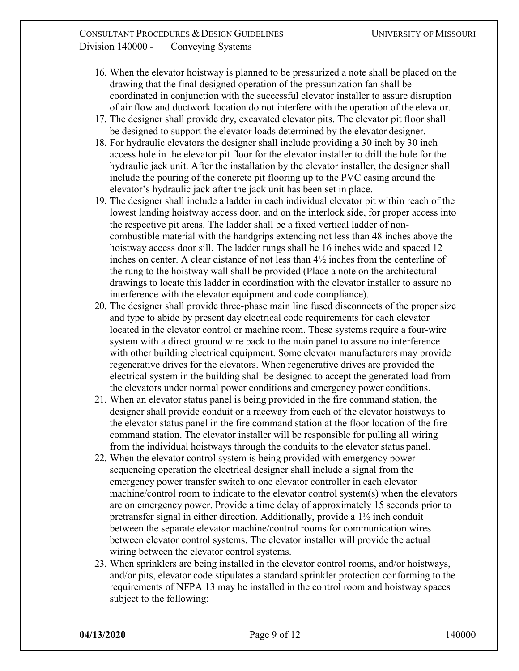- 16. When the elevator hoistway is planned to be pressurized a note shall be placed on the drawing that the final designed operation of the pressurization fan shall be coordinated in conjunction with the successful elevator installer to assure disruption of air flow and ductwork location do not interfere with the operation of the elevator.
- 17. The designer shall provide dry, excavated elevator pits. The elevator pit floor shall be designed to support the elevator loads determined by the elevator designer.
- 18. For hydraulic elevators the designer shall include providing a 30 inch by 30 inch access hole in the elevator pit floor for the elevator installer to drill the hole for the hydraulic jack unit. After the installation by the elevator installer, the designer shall include the pouring of the concrete pit flooring up to the PVC casing around the elevator's hydraulic jack after the jack unit has been set in place.
- 19. The designer shall include a ladder in each individual elevator pit within reach of the lowest landing hoistway access door, and on the interlock side, for proper access into the respective pit areas. The ladder shall be a fixed vertical ladder of noncombustible material with the handgrips extending not less than 48 inches above the hoistway access door sill. The ladder rungs shall be 16 inches wide and spaced 12 inches on center. A clear distance of not less than 4½ inches from the centerline of the rung to the hoistway wall shall be provided (Place a note on the architectural drawings to locate this ladder in coordination with the elevator installer to assure no interference with the elevator equipment and code compliance).
- 20. The designer shall provide three-phase main line fused disconnects of the proper size and type to abide by present day electrical code requirements for each elevator located in the elevator control or machine room. These systems require a four-wire system with a direct ground wire back to the main panel to assure no interference with other building electrical equipment. Some elevator manufacturers may provide regenerative drives for the elevators. When regenerative drives are provided the electrical system in the building shall be designed to accept the generated load from the elevators under normal power conditions and emergency power conditions.
- 21. When an elevator status panel is being provided in the fire command station, the designer shall provide conduit or a raceway from each of the elevator hoistways to the elevator status panel in the fire command station at the floor location of the fire command station. The elevator installer will be responsible for pulling all wiring from the individual hoistways through the conduits to the elevator status panel.
- 22. When the elevator control system is being provided with emergency power sequencing operation the electrical designer shall include a signal from the emergency power transfer switch to one elevator controller in each elevator machine/control room to indicate to the elevator control system(s) when the elevators are on emergency power. Provide a time delay of approximately 15 seconds prior to pretransfer signal in either direction. Additionally, provide a 1½ inch conduit between the separate elevator machine/control rooms for communication wires between elevator control systems. The elevator installer will provide the actual wiring between the elevator control systems.
- 23. When sprinklers are being installed in the elevator control rooms, and/or hoistways, and/or pits, elevator code stipulates a standard sprinkler protection conforming to the requirements of NFPA 13 may be installed in the control room and hoistway spaces subject to the following: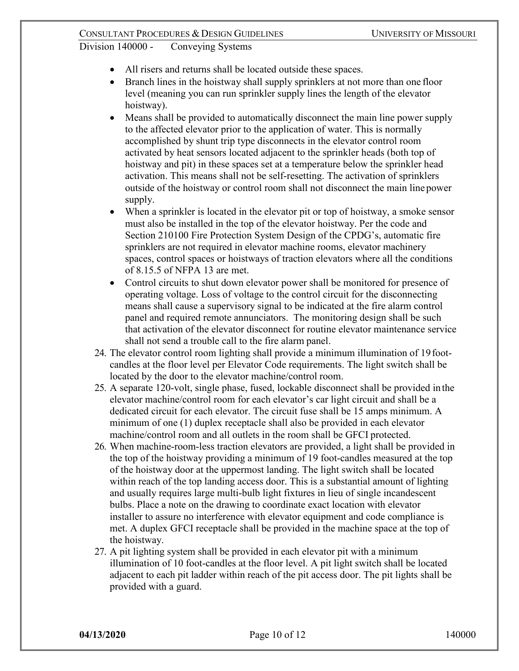- All risers and returns shall be located outside these spaces.
- Branch lines in the hoistway shall supply sprinklers at not more than one floor level (meaning you can run sprinkler supply lines the length of the elevator hoistway).
- Means shall be provided to automatically disconnect the main line power supply to the affected elevator prior to the application of water. This is normally accomplished by shunt trip type disconnects in the elevator control room activated by heat sensors located adjacent to the sprinkler heads (both top of hoistway and pit) in these spaces set at a temperature below the sprinkler head activation. This means shall not be self-resetting. The activation of sprinklers outside of the hoistway or control room shall not disconnect the main line power supply.
- When a sprinkler is located in the elevator pit or top of hoistway, a smoke sensor must also be installed in the top of the elevator hoistway. Per the code and Section 210100 Fire Protection System Design of the CPDG's, automatic fire sprinklers are not required in elevator machine rooms, elevator machinery spaces, control spaces or hoistways of traction elevators where all the conditions of 8.15.5 of NFPA 13 are met.
- Control circuits to shut down elevator power shall be monitored for presence of operating voltage. Loss of voltage to the control circuit for the disconnecting means shall cause a supervisory signal to be indicated at the fire alarm control panel and required remote annunciators. The monitoring design shall be such that activation of the elevator disconnect for routine elevator maintenance service shall not send a trouble call to the fire alarm panel.
- 24. The elevator control room lighting shall provide a minimum illumination of 19footcandles at the floor level per Elevator Code requirements. The light switch shall be located by the door to the elevator machine/control room.
- 25. A separate 120-volt, single phase, fused, lockable disconnect shall be provided in the elevator machine/control room for each elevator's car light circuit and shall be a dedicated circuit for each elevator. The circuit fuse shall be 15 amps minimum. A minimum of one (1) duplex receptacle shall also be provided in each elevator machine/control room and all outlets in the room shall be GFCI protected.
- 26. When machine-room-less traction elevators are provided, a light shall be provided in the top of the hoistway providing a minimum of 19 foot-candles measured at the top of the hoistway door at the uppermost landing. The light switch shall be located within reach of the top landing access door. This is a substantial amount of lighting and usually requires large multi-bulb light fixtures in lieu of single incandescent bulbs. Place a note on the drawing to coordinate exact location with elevator installer to assure no interference with elevator equipment and code compliance is met. A duplex GFCI receptacle shall be provided in the machine space at the top of the hoistway.
- 27. A pit lighting system shall be provided in each elevator pit with a minimum illumination of 10 foot-candles at the floor level. A pit light switch shall be located adjacent to each pit ladder within reach of the pit access door. The pit lights shall be provided with a guard.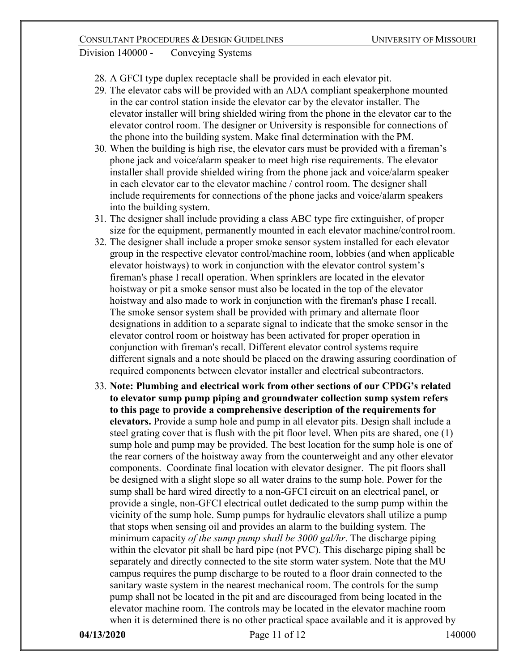- 28. A GFCI type duplex receptacle shall be provided in each elevator pit.
- 29. The elevator cabs will be provided with an ADA compliant speakerphone mounted in the car control station inside the elevator car by the elevator installer. The elevator installer will bring shielded wiring from the phone in the elevator car to the elevator control room. The designer or University is responsible for connections of the phone into the building system. Make final determination with the PM.
- 30. When the building is high rise, the elevator cars must be provided with a fireman's phone jack and voice/alarm speaker to meet high rise requirements. The elevator installer shall provide shielded wiring from the phone jack and voice/alarm speaker in each elevator car to the elevator machine / control room. The designer shall include requirements for connections of the phone jacks and voice/alarm speakers into the building system.
- 31. The designer shall include providing a class ABC type fire extinguisher, of proper size for the equipment, permanently mounted in each elevator machine/controlroom.
- 32. The designer shall include a proper smoke sensor system installed for each elevator group in the respective elevator control/machine room, lobbies (and when applicable elevator hoistways) to work in conjunction with the elevator control system's fireman's phase I recall operation. When sprinklers are located in the elevator hoistway or pit a smoke sensor must also be located in the top of the elevator hoistway and also made to work in conjunction with the fireman's phase I recall. The smoke sensor system shall be provided with primary and alternate floor designations in addition to a separate signal to indicate that the smoke sensor in the elevator control room or hoistway has been activated for proper operation in conjunction with fireman's recall. Different elevator control systems require different signals and a note should be placed on the drawing assuring coordination of required components between elevator installer and electrical subcontractors.
- 33. **Note: Plumbing and electrical work from other sections of our CPDG's related to elevator sump pump piping and groundwater collection sump system refers to this page to provide a comprehensive description of the requirements for elevators.** Provide a sump hole and pump in all elevator pits. Design shall include a steel grating cover that is flush with the pit floor level. When pits are shared, one (1) sump hole and pump may be provided. The best location for the sump hole is one of the rear corners of the hoistway away from the counterweight and any other elevator components. Coordinate final location with elevator designer. The pit floors shall be designed with a slight slope so all water drains to the sump hole. Power for the sump shall be hard wired directly to a non-GFCI circuit on an electrical panel, or provide a single, non-GFCI electrical outlet dedicated to the sump pump within the vicinity of the sump hole. Sump pumps for hydraulic elevators shall utilize a pump that stops when sensing oil and provides an alarm to the building system. The minimum capacity *of the sump pump shall be 3000 gal/hr*. The discharge piping within the elevator pit shall be hard pipe (not PVC). This discharge piping shall be separately and directly connected to the site storm water system. Note that the MU campus requires the pump discharge to be routed to a floor drain connected to the sanitary waste system in the nearest mechanical room. The controls for the sump pump shall not be located in the pit and are discouraged from being located in the elevator machine room. The controls may be located in the elevator machine room when it is determined there is no other practical space available and it is approved by